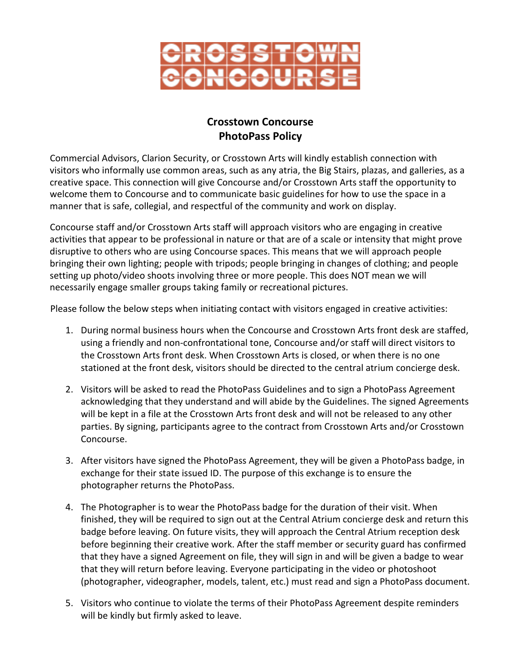

# **Crosstown Concourse PhotoPass Policy**

Commercial Advisors, Clarion Security, or Crosstown Arts will kindly establish connection with visitors who informally use common areas, such as any atria, the Big Stairs, plazas, and galleries, as a creative space. This connection will give Concourse and/or Crosstown Arts staff the opportunity to welcome them to Concourse and to communicate basic guidelines for how to use the space in a manner that is safe, collegial, and respectful of the community and work on display.

Concourse staff and/or Crosstown Arts staff will approach visitors who are engaging in creative activities that appear to be professional in nature or that are of a scale or intensity that might prove disruptive to others who are using Concourse spaces. This means that we will approach people bringing their own lighting; people with tripods; people bringing in changes of clothing; and people setting up photo/video shoots involving three or more people. This does NOT mean we will necessarily engage smaller groups taking family or recreational pictures.

Please follow the below steps when initiating contact with visitors engaged in creative activities:

- 1. During normal business hours when the Concourse and Crosstown Arts front desk are staffed, using a friendly and non-confrontational tone, Concourse and/or staff will direct visitors to the Crosstown Arts front desk. When Crosstown Arts is closed, or when there is no one stationed at the front desk, visitors should be directed to the central atrium concierge desk.
- 2. Visitors will be asked to read the PhotoPass Guidelines and to sign a PhotoPass Agreement acknowledging that they understand and will abide by the Guidelines. The signed Agreements will be kept in a file at the Crosstown Arts front desk and will not be released to any other parties. By signing, participants agree to the contract from Crosstown Arts and/or Crosstown Concourse.
- 3. After visitors have signed the PhotoPass Agreement, they will be given a PhotoPass badge, in exchange for their state issued ID. The purpose of this exchange is to ensure the photographer returns the PhotoPass.
- 4. The Photographer is to wear the PhotoPass badge for the duration of their visit. When finished, they will be required to sign out at the Central Atrium concierge desk and return this badge before leaving. On future visits, they will approach the Central Atrium reception desk before beginning their creative work. After the staff member or security guard has confirmed that they have a signed Agreement on file, they will sign in and will be given a badge to wear that they will return before leaving. Everyone participating in the video or photoshoot (photographer, videographer, models, talent, etc.) must read and sign a PhotoPass document.
- 5. Visitors who continue to violate the terms of their PhotoPass Agreement despite reminders will be kindly but firmly asked to leave.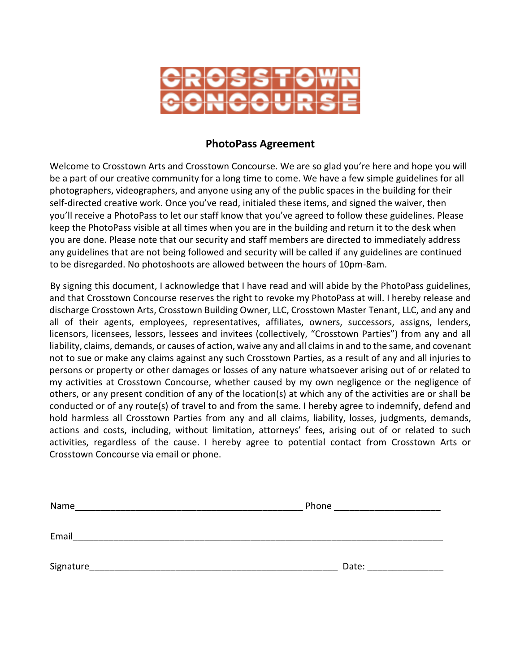

### **PhotoPass Agreement**

Welcome to Crosstown Arts and Crosstown Concourse. We are so glad you're here and hope you will be a part of our creative community for a long time to come. We have a few simple guidelines for all photographers, videographers, and anyone using any of the public spaces in the building for their self-directed creative work. Once you've read, initialed these items, and signed the waiver, then you'll receive a PhotoPass to let our staff know that you've agreed to follow these guidelines. Please keep the PhotoPass visible at all times when you are in the building and return it to the desk when you are done. Please note that our security and staff members are directed to immediately address any guidelines that are not being followed and security will be called if any guidelines are continued to be disregarded. No photoshoots are allowed between the hours of 10pm-8am.

By signing this document, I acknowledge that I have read and will abide by the PhotoPass guidelines, and that Crosstown Concourse reserves the right to revoke my PhotoPass at will. I hereby release and discharge Crosstown Arts, Crosstown Building Owner, LLC, Crosstown Master Tenant, LLC, and any and all of their agents, employees, representatives, affiliates, owners, successors, assigns, lenders, licensors, licensees, lessors, lessees and invitees (collectively, "Crosstown Parties") from any and all liability, claims, demands, or causes of action, waive any and all claims in and to the same, and covenant not to sue or make any claims against any such Crosstown Parties, as a result of any and all injuries to persons or property or other damages or losses of any nature whatsoever arising out of or related to my activities at Crosstown Concourse, whether caused by my own negligence or the negligence of others, or any present condition of any of the location(s) at which any of the activities are or shall be conducted or of any route(s) of travel to and from the same. I hereby agree to indemnify, defend and hold harmless all Crosstown Parties from any and all claims, liability, losses, judgments, demands, actions and costs, including, without limitation, attorneys' fees, arising out of or related to such activities, regardless of the cause. I hereby agree to potential contact from Crosstown Arts or Crosstown Concourse via email or phone.

| Name      | Phone |
|-----------|-------|
| Email     |       |
| Signature | Date: |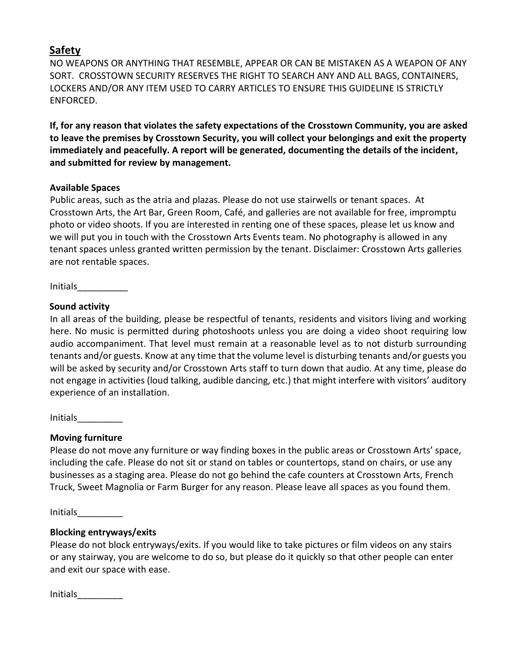# **Safety**

NO WEAPONS OR ANYTHING THAT RESEMBLE, APPEAR OR CAN BE MISTAKEN AS A WEAPON OF ANY SORT. CROSSTOWN SECURITY RESERVES THE RIGHT TO SEARCH ANY AND ALL BAGS, CONTAINERS, LOCKERS AND/OR ANY ITEM USED TO CARRY ARTICLES TO ENSURE THIS GUIDELINE IS STRICTLY ENFORCED.

**If, for any reason that violates the safety expectations of the Crosstown Community, you are asked to leave the premises by Crosstown Security, you will collect your belongings and exit the property immediately and peacefully. A report will be generated, documenting the details of the incident, and submitted for review by management.**

## **Available Spaces**

Public areas, such as the atria and plazas. Please do not use stairwells or tenant spaces. At Crosstown Arts, the Art Bar, Green Room, Café, and galleries are not available for free, impromptu photo or video shoots. If you are interested in renting one of these spaces, please let us know and we will put you in touch with the Crosstown Arts Events team. No photography is allowed in any tenant spaces unless granted written permission by the tenant. Disclaimer: Crosstown Arts galleries are not rentable spaces.

Initials\_\_\_\_\_\_\_\_\_\_

## **Sound activity**

In all areas of the building, please be respectful of tenants, residents and visitors living and working here. No music is permitted during photoshoots unless you are doing a video shoot requiring low audio accompaniment. That level must remain at a reasonable level as to not disturb surrounding tenants and/or guests. Know at any time that the volume level is disturbing tenants and/or guests you will be asked by security and/or Crosstown Arts staff to turn down that audio. At any time, please do not engage in activities (loud talking, audible dancing, etc.) that might interfere with visitors' auditory experience of an installation.

Initials\_\_\_\_\_\_\_\_\_

## **Moving furniture**

Please do not move any furniture or way finding boxes in the public areas or Crosstown Arts' space, including the cafe. Please do not sit or stand on tables or countertops, stand on chairs, or use any businesses as a staging area. Please do not go behind the cafe counters at Crosstown Arts, French Truck, Sweet Magnolia or Farm Burger for any reason. Please leave all spaces as you found them.

Initials\_\_\_\_\_\_\_\_\_

## **Blocking entryways/exits**

Please do not block entryways/exits. If you would like to take pictures or film videos on any stairs or any stairway, you are welcome to do so, but please do it quickly so that other people can enter and exit our space with ease.

Initials\_\_\_\_\_\_\_\_\_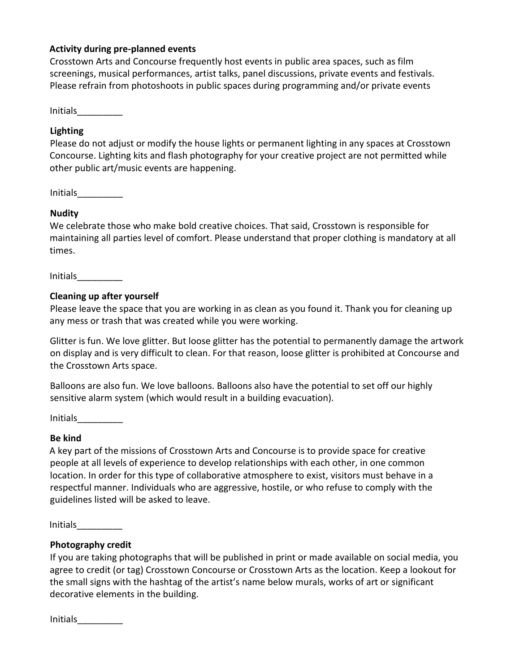#### **Activity during pre-planned events**

Crosstown Arts and Concourse frequently host events in public area spaces, such as film screenings, musical performances, artist talks, panel discussions, private events and festivals. Please refrain from photoshoots in public spaces during programming and/or private events

Initials\_\_\_\_\_\_\_\_\_

### **Lighting**

Please do not adjust or modify the house lights or permanent lighting in any spaces at Crosstown Concourse. Lighting kits and flash photography for your creative project are not permitted while other public art/music events are happening.

Initials\_\_\_\_\_\_\_\_\_

### **Nudity**

We celebrate those who make bold creative choices. That said, Crosstown is responsible for maintaining all parties level of comfort. Please understand that proper clothing is mandatory at all times.

Initials\_\_\_\_\_\_\_\_\_

#### **Cleaning up after yourself**

Please leave the space that you are working in as clean as you found it. Thank you for cleaning up any mess or trash that was created while you were working.

Glitter is fun. We love glitter. But loose glitter has the potential to permanently damage the artwork on display and is very difficult to clean. For that reason, loose glitter is prohibited at Concourse and the Crosstown Arts space.

Balloons are also fun. We love balloons. Balloons also have the potential to set off our highly sensitive alarm system (which would result in a building evacuation).

Initials\_\_\_\_\_\_\_\_\_

### **Be kind**

A key part of the missions of Crosstown Arts and Concourse is to provide space for creative people at all levels of experience to develop relationships with each other, in one common location. In order for this type of collaborative atmosphere to exist, visitors must behave in a respectful manner. Individuals who are aggressive, hostile, or who refuse to comply with the guidelines listed will be asked to leave.

Initials\_\_\_\_\_\_\_\_\_

### **Photography credit**

If you are taking photographs that will be published in print or made available on social media, you agree to credit (or tag) Crosstown Concourse or Crosstown Arts as the location. Keep a lookout for the small signs with the hashtag of the artist's name below murals, works of art or significant decorative elements in the building.

Initials\_\_\_\_\_\_\_\_\_